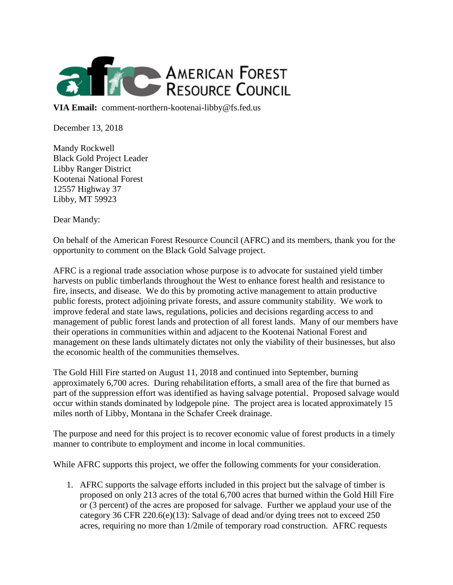

**VIA Email:** comment-northern-kootenai-libby@fs.fed.us

December 13, 2018

Mandy Rockwell Black Gold Project Leader Libby Ranger District Kootenai National Forest 12557 Highway 37 Libby, MT 59923

Dear Mandy:

On behalf of the American Forest Resource Council (AFRC) and its members, thank you for the opportunity to comment on the Black Gold Salvage project.

AFRC is a regional trade association whose purpose is to advocate for sustained yield timber harvests on public timberlands throughout the West to enhance forest health and resistance to fire, insects, and disease. We do this by promoting active management to attain productive public forests, protect adjoining private forests, and assure community stability. We work to improve federal and state laws, regulations, policies and decisions regarding access to and management of public forest lands and protection of all forest lands. Many of our members have their operations in communities within and adjacent to the Kootenai National Forest and management on these lands ultimately dictates not only the viability of their businesses, but also the economic health of the communities themselves.

The Gold Hill Fire started on August 11, 2018 and continued into September, burning approximately 6,700 acres. During rehabilitation efforts, a small area of the fire that burned as part of the suppression effort was identified as having salvage potential. Proposed salvage would occur within stands dominated by lodgepole pine. The project area is located approximately 15 miles north of Libby, Montana in the Schafer Creek drainage.

The purpose and need for this project is to recover economic value of forest products in a timely manner to contribute to employment and income in local communities.

While AFRC supports this project, we offer the following comments for your consideration.

1. AFRC supports the salvage efforts included in this project but the salvage of timber is proposed on only 213 acres of the total 6,700 acres that burned within the Gold Hill Fire or (3 percent) of the acres are proposed for salvage. Further we applaud your use of the category 36 CFR 220.6(e)(13): Salvage of dead and/or dying trees not to exceed 250 acres, requiring no more than 1/2mile of temporary road construction. AFRC requests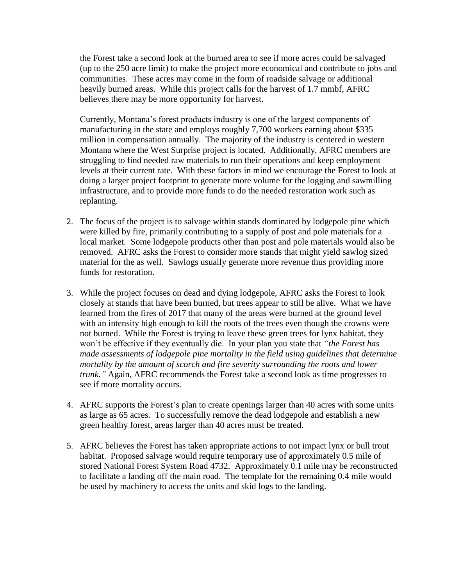the Forest take a second look at the burned area to see if more acres could be salvaged (up to the 250 acre limit) to make the project more economical and contribute to jobs and communities. These acres may come in the form of roadside salvage or additional heavily burned areas. While this project calls for the harvest of 1.7 mmbf, AFRC believes there may be more opportunity for harvest.

Currently, Montana's forest products industry is one of the largest components of manufacturing in the state and employs roughly 7,700 workers earning about \$335 million in compensation annually. The majority of the industry is centered in western Montana where the West Surprise project is located. Additionally, AFRC members are struggling to find needed raw materials to run their operations and keep employment levels at their current rate. With these factors in mind we encourage the Forest to look at doing a larger project footprint to generate more volume for the logging and sawmilling infrastructure, and to provide more funds to do the needed restoration work such as replanting.

- 2. The focus of the project is to salvage within stands dominated by lodgepole pine which were killed by fire, primarily contributing to a supply of post and pole materials for a local market. Some lodgepole products other than post and pole materials would also be removed. AFRC asks the Forest to consider more stands that might yield sawlog sized material for the as well. Sawlogs usually generate more revenue thus providing more funds for restoration.
- 3. While the project focuses on dead and dying lodgepole, AFRC asks the Forest to look closely at stands that have been burned, but trees appear to still be alive. What we have learned from the fires of 2017 that many of the areas were burned at the ground level with an intensity high enough to kill the roots of the trees even though the crowns were not burned. While the Forest is trying to leave these green trees for lynx habitat, they won't be effective if they eventually die. In your plan you state that *"the Forest has made assessments of lodgepole pine mortality in the field using guidelines that determine mortality by the amount of scorch and fire severity surrounding the roots and lower trunk."* Again, AFRC recommends the Forest take a second look as time progresses to see if more mortality occurs.
- 4. AFRC supports the Forest's plan to create openings larger than 40 acres with some units as large as 65 acres. To successfully remove the dead lodgepole and establish a new green healthy forest, areas larger than 40 acres must be treated.
- 5. AFRC believes the Forest has taken appropriate actions to not impact lynx or bull trout habitat. Proposed salvage would require temporary use of approximately 0.5 mile of stored National Forest System Road 4732. Approximately 0.1 mile may be reconstructed to facilitate a landing off the main road. The template for the remaining 0.4 mile would be used by machinery to access the units and skid logs to the landing.